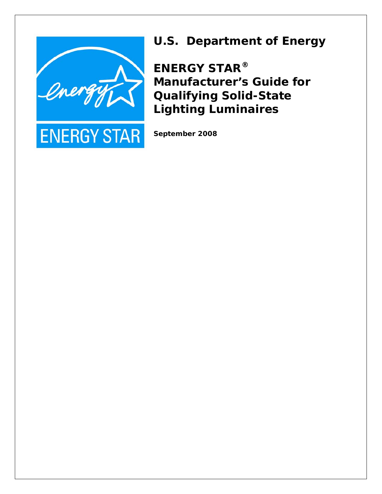

**ENERGY STAR** 



**ENERGY STAR® Manufacturer's Guide for Qualifying Solid-State Lighting Luminaires** 

**September 2008**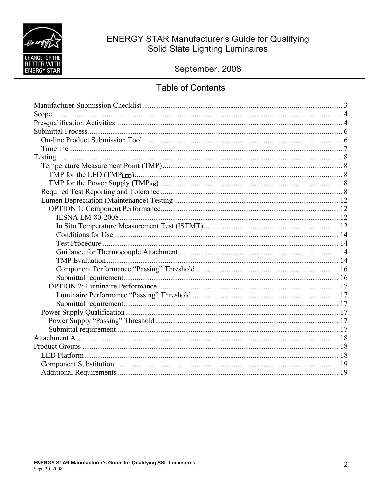

# **ENERGY STAR Manufacturer's Guide for Qualifying** Solid State Lighting Luminaires

September, 2008

# **Table of Contents**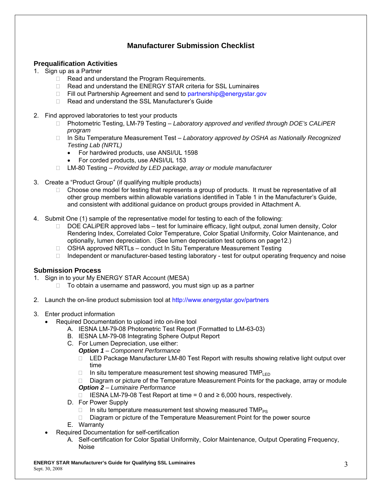# **Manufacturer Submission Checklist**

### **Prequalification Activities**

- 1. Sign up as a Partner
	- $\Box$  Read and understand the Program Requirements.
	- □ Read and understand the ENERGY STAR criteria for SSL Luminaires
	- $\Box$  Fill out Partnership Agreement and send to partnership@energystar.gov
	- □ Read and understand the SSL Manufacturer's Guide
- 2. Find approved laboratories to test your products
	- □ Photometric Testing, LM-79 Testing *Laboratory approved and verified through DOE's CALiPER program*
	- In Situ Temperature Measurement Test *Laboratory approved by OSHA as Nationally Recognized Testing Lab (NRTL)* 
		- For hardwired products, use ANSI/UL 1598
		- For corded products, use ANSI/UL 153
	- LM-80 Testing *Provided by LED package, array or module manufacturer*
- 3. Create a "Product Group" (if qualifying multiple products)
	- $\Box$  Choose one model for testing that represents a group of products. It must be representative of all other group members within allowable variations identified in Table 1 in the Manufacturer's Guide, and consistent with additional guidance on product groups provided in Attachment A.
- 4. Submit One (1) sample of the representative model for testing to each of the following:
	- DOE CALIPER approved labs test for luminaire efficacy, light output, zonal lumen density, Color Rendering Index, Correlated Color Temperature, Color Spatial Uniformity, Color Maintenance, and optionally, lumen depreciation. (See lumen depreciation test options on page12.)
	- $\Box$  OSHA approved NRTLs conduct In Situ Temperature Measurement Testing
	- $\Box$  Independent or manufacturer-based testing laboratory test for output operating frequency and noise

#### **Submission Process**

- 1. Sign in to your My ENERGY STAR Account (MESA)
	- $\Box$  To obtain a username and password, you must sign up as a partner
- 2. Launch the on-line product submission tool at http://www.energystar.gov/partners
- 3. Enter product information
	- Required Documentation to upload into on-line tool
		- A. IESNA LM-79-08 Photometric Test Report (Formatted to LM-63-03)
		- B. IESNA LM-79-08 Integrating Sphere Output Report
		- C. For Lumen Depreciation, use either:
			- *Option 1 Component Performance* 
				- □ LED Package Manufacturer LM-80 Test Report with results showing relative light output over time
				- $\Box$  In situ temperature measurement test showing measured TMP<sub>LED</sub>

 $\Box$  Diagram or picture of the Temperature Measurement Points for the package, array or module *Option 2 – Luminaire Performance* 

- IESNA LM-79-08 Test Report at time = 0 and ≥ 6,000 hours, respectively.
- D. For Power Supply
	- $\Box$  In situ temperature measurement test showing measured TMP<sub>PS</sub>
	- $\Box$  Diagram or picture of the Temperature Measurement Point for the power source
- E. Warranty
- Required Documentation for self-certification
	- A. Self-certification for Color Spatial Uniformity, Color Maintenance, Output Operating Frequency, Noise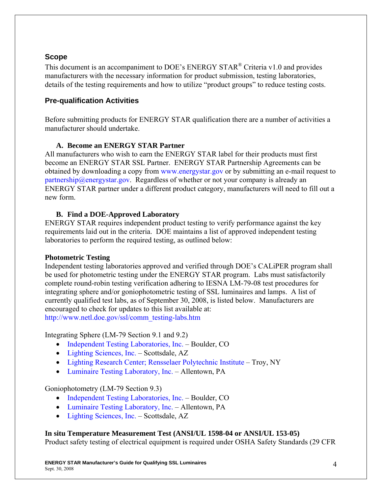# **Scope**

This document is an accompaniment to DOE's ENERGY STAR® Criteria v1.0 and provides manufacturers with the necessary information for product submission, testing laboratories, details of the testing requirements and how to utilize "product groups" to reduce testing costs.

# **Pre-qualification Activities**

Before submitting products for ENERGY STAR qualification there are a number of activities a manufacturer should undertake.

# **A. Become an ENERGY STAR Partner**

All manufacturers who wish to earn the ENERGY STAR label for their products must first become an ENERGY STAR SSL Partner. ENERGY STAR Partnership Agreements can be obtained by downloading a copy from www.energystar.gov or by submitting an e-mail request to partnership@energystar.gov. Regardless of whether or not your company is already an ENERGY STAR partner under a different product category, manufacturers will need to fill out a new form.

# **B. Find a DOE-Approved Laboratory**

ENERGY STAR requires independent product testing to verify performance against the key requirements laid out in the criteria. DOE maintains a list of approved independent testing laboratories to perform the required testing, as outlined below:

# **Photometric Testing**

Independent testing laboratories approved and verified through DOE's CALiPER program shall be used for photometric testing under the ENERGY STAR program. Labs must satisfactorily complete round-robin testing verification adhering to IESNA LM-79-08 test procedures for integrating sphere and/or goniophotometric testing of SSL luminaires and lamps. A list of currently qualified test labs, as of September 30, 2008, is listed below. Manufacturers are encouraged to check for updates to this list available at: http://www.netl.doe.gov/ssl/comm\_testing-labs.htm

Integrating Sphere (LM-79 Section 9.1 and 9.2)

- Independent Testing Laboratories, Inc. Boulder, CO
- Lighting Sciences, Inc. Scottsdale, AZ
- Lighting Research Center; Rensselaer Polytechnic Institute Troy, NY
- Luminaire Testing Laboratory, Inc. Allentown, PA

# Goniophotometry (LM-79 Section 9.3)

- Independent Testing Laboratories, Inc. Boulder, CO
- Luminaire Testing Laboratory, Inc. Allentown, PA
- Lighting Sciences, Inc. Scottsdale, AZ

### **In situ Temperature Measurement Test (ANSI/UL 1598-04 or ANSI/UL 153-05)**

Product safety testing of electrical equipment is required under OSHA Safety Standards (29 CFR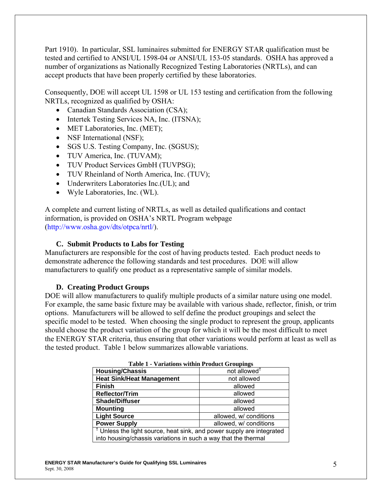Part 1910). In particular, SSL luminaires submitted for ENERGY STAR qualification must be tested and certified to ANSI/UL 1598-04 or ANSI/UL 153-05 standards. OSHA has approved a number of organizations as Nationally Recognized Testing Laboratories (NRTLs), and can accept products that have been properly certified by these laboratories.

Consequently, DOE will accept UL 1598 or UL 153 testing and certification from the following NRTLs, recognized as qualified by OSHA:

- Canadian Standards Association (CSA);
- Intertek Testing Services NA, Inc. (ITSNA);
- MET Laboratories, Inc. (MET);
- NSF International (NSF);
- SGS U.S. Testing Company, Inc. (SGSUS);
- TUV America, Inc. (TUVAM);
- TUV Product Services GmbH (TUVPSG);
- TUV Rheinland of North America, Inc. (TUV);
- Underwriters Laboratories Inc. (UL); and
- Wyle Laboratories, Inc. (WL).

A complete and current listing of NRTLs, as well as detailed qualifications and contact information, is provided on OSHA's NRTL Program webpage (http://www.osha.gov/dts/otpca/nrtl/).

#### **C. Submit Products to Labs for Testing**

Manufacturers are responsible for the cost of having products tested. Each product needs to demonstrate adherence the following standards and test procedures. DOE will allow manufacturers to qualify one product as a representative sample of similar models.

#### **D. Creating Product Groups**

DOE will allow manufacturers to qualify multiple products of a similar nature using one model. For example, the same basic fixture may be available with various shade, reflector, finish, or trim options. Manufacturers will be allowed to self define the product groupings and select the specific model to be tested. When choosing the single product to represent the group, applicants should choose the product variation of the group for which it will be the most difficult to meet the ENERGY STAR criteria, thus ensuring that other variations would perform at least as well as the tested product. Table 1 below summarizes allowable variations.

| Table 1 - Variations within Product Groupings                                    |                          |  |  |  |
|----------------------------------------------------------------------------------|--------------------------|--|--|--|
| <b>Housing/Chassis</b>                                                           | not allowed <sup>†</sup> |  |  |  |
| <b>Heat Sink/Heat Management</b>                                                 | not allowed              |  |  |  |
| <b>Finish</b>                                                                    | allowed                  |  |  |  |
| <b>Reflector/Trim</b>                                                            | allowed                  |  |  |  |
| <b>Shade/Diffuser</b><br>allowed                                                 |                          |  |  |  |
| <b>Mounting</b><br>allowed                                                       |                          |  |  |  |
| <b>Light Source</b><br>allowed, w/ conditions                                    |                          |  |  |  |
| <b>Power Supply</b><br>allowed, w/ conditions                                    |                          |  |  |  |
| <sup>†</sup> Unless the light source, heat sink, and power supply are integrated |                          |  |  |  |
| into housing/chassis variations in such a way that the thermal                   |                          |  |  |  |

| <b>Table 1 - Variations within Product Groupings</b> |  |  |
|------------------------------------------------------|--|--|
|------------------------------------------------------|--|--|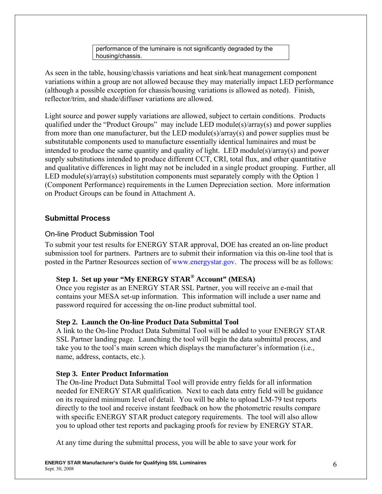performance of the luminaire is not significantly degraded by the housing/chassis.

As seen in the table, housing/chassis variations and heat sink/heat management component variations within a group are not allowed because they may materially impact LED performance (although a possible exception for chassis/housing variations is allowed as noted). Finish, reflector/trim, and shade/diffuser variations are allowed.

Light source and power supply variations are allowed, subject to certain conditions. Products qualified under the "Product Groups" may include LED module(s)/array(s) and power supplies from more than one manufacturer, but the LED module(s)/array(s) and power supplies must be substitutable components used to manufacture essentially identical luminaires and must be intended to produce the same quantity and quality of light. LED module(s)/array(s) and power supply substitutions intended to produce different CCT, CRI, total flux, and other quantitative and qualitative differences in light may not be included in a single product grouping. Further, all LED module(s)/array(s) substitution components must separately comply with the Option 1 (Component Performance) requirements in the Lumen Depreciation section. More information on Product Groups can be found in Attachment A.

# **Submittal Process**

# On-line Product Submission Tool

To submit your test results for ENERGY STAR approval, DOE has created an on-line product submission tool for partners. Partners are to submit their information via this on-line tool that is posted in the Partner Resources section of www.energystar.gov. The process will be as follows:

# **Step 1. Set up your "My ENERGY STAR® Account" (MESA)**

Once you register as an ENERGY STAR SSL Partner, you will receive an e-mail that contains your MESA set-up information. This information will include a user name and password required for accessing the on-line product submittal tool.

# **Step 2. Launch the On-line Product Data Submittal Tool**

A link to the On-line Product Data Submittal Tool will be added to your ENERGY STAR SSL Partner landing page. Launching the tool will begin the data submittal process, and take you to the tool's main screen which displays the manufacturer's information (i.e., name, address, contacts, etc.).

# **Step 3. Enter Product Information**

The On-line Product Data Submittal Tool will provide entry fields for all information needed for ENERGY STAR qualification. Next to each data entry field will be guidance on its required minimum level of detail. You will be able to upload LM-79 test reports directly to the tool and receive instant feedback on how the photometric results compare with specific ENERGY STAR product category requirements. The tool will also allow you to upload other test reports and packaging proofs for review by ENERGY STAR.

At any time during the submittal process, you will be able to save your work for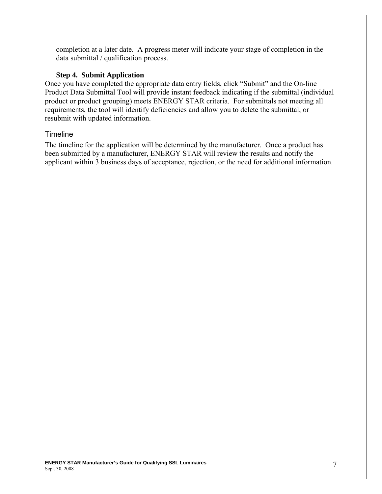completion at a later date. A progress meter will indicate your stage of completion in the data submittal / qualification process.

#### **Step 4. Submit Application**

Once you have completed the appropriate data entry fields, click "Submit" and the On-line Product Data Submittal Tool will provide instant feedback indicating if the submittal (individual product or product grouping) meets ENERGY STAR criteria. For submittals not meeting all requirements, the tool will identify deficiencies and allow you to delete the submittal, or resubmit with updated information.

#### Timeline

The timeline for the application will be determined by the manufacturer. Once a product has been submitted by a manufacturer, ENERGY STAR will review the results and notify the applicant within 3 business days of acceptance, rejection, or the need for additional information.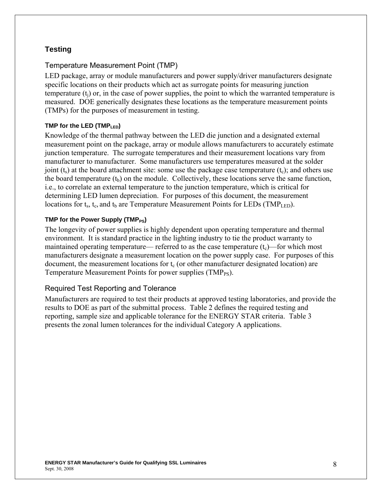# **Testing**

## Temperature Measurement Point (TMP)

LED package, array or module manufacturers and power supply/driver manufacturers designate specific locations on their products which act as surrogate points for measuring junction temperature  $(t<sub>i</sub>)$  or, in the case of power supplies, the point to which the warranted temperature is measured. DOE generically designates these locations as the temperature measurement points (TMPs) for the purposes of measurement in testing.

### **TMP for the LED (TMPLED)**

Knowledge of the thermal pathway between the LED die junction and a designated external measurement point on the package, array or module allows manufacturers to accurately estimate junction temperature. The surrogate temperatures and their measurement locations vary from manufacturer to manufacturer. Some manufacturers use temperatures measured at the solder joint  $(t_s)$  at the board attachment site: some use the package case temperature  $(t_c)$ ; and others use the board temperature  $(t_b)$  on the module. Collectively, these locations serve the same function, i.e., to correlate an external temperature to the junction temperature, which is critical for determining LED lumen depreciation. For purposes of this document, the measurement locations for  $t_s$ ,  $t_c$ , and  $t_b$  are Temperature Measurement Points for LEDs (TMP<sub>LED</sub>).

### **TMP for the Power Supply (TMP<sub>PS</sub>)**

The longevity of power supplies is highly dependent upon operating temperature and thermal environment. It is standard practice in the lighting industry to tie the product warranty to maintained operating temperature— referred to as the case temperature  $(t_c)$ —for which most manufacturers designate a measurement location on the power supply case. For purposes of this document, the measurement locations for  $t_c$  (or other manufacturer designated location) are Temperature Measurement Points for power supplies (TMP<sub>PS</sub>).

### Required Test Reporting and Tolerance

Manufacturers are required to test their products at approved testing laboratories, and provide the results to DOE as part of the submittal process. Table 2 defines the required testing and reporting, sample size and applicable tolerance for the ENERGY STAR criteria. Table 3 presents the zonal lumen tolerances for the individual Category A applications.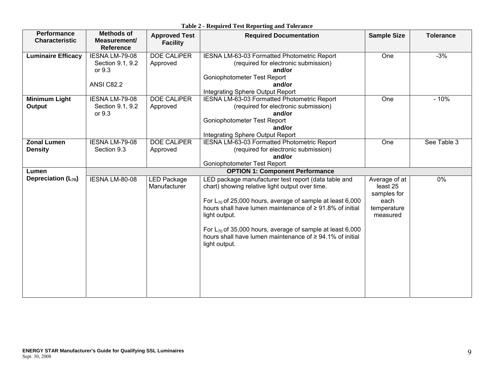| Performance<br><b>Characteristic</b> | <b>Methods of</b><br>Measurement/<br><b>Reference</b>             | <b>Approved Test</b><br><b>Facility</b> | <b>Required Documentation</b>                                                                                                                                                                                           | <b>Sample Size</b>                               | <b>Tolerance</b> |
|--------------------------------------|-------------------------------------------------------------------|-----------------------------------------|-------------------------------------------------------------------------------------------------------------------------------------------------------------------------------------------------------------------------|--------------------------------------------------|------------------|
| <b>Luminaire Efficacy</b>            | IESNA LM-79-08<br>Section 9.1, 9.2<br>or 9.3<br><b>ANSI C82.2</b> | <b>DOE CALIPER</b><br>Approved          | IESNA LM-63-03 Formatted Photometric Report<br>(required for electronic submission)<br>and/or<br>Goniophotometer Test Report<br>and/or<br>Integrating Sphere Output Report                                              | One                                              | $-3%$            |
| <b>Minimum Light</b><br>Output       | IESNA LM-79-08<br>Section 9.1, 9.2<br>or 9.3                      | <b>DOE CALIPER</b><br>Approved          | IESNA LM-63-03 Formatted Photometric Report<br>(required for electronic submission)<br>and/or<br>Goniophotometer Test Report<br>and/or<br>Integrating Sphere Output Report                                              | One                                              | $-10%$           |
| <b>Zonal Lumen</b><br><b>Density</b> | IESNA LM-79-08<br>Section 9.3                                     | <b>DOE CALIPER</b><br>Approved          | IESNA LM-63-03 Formatted Photometric Report<br>(required for electronic submission)<br>and/or<br>Goniophotometer Test Report                                                                                            | One                                              | See Table 3      |
| Lumen<br>Depreciation $(L_{70})$     | IESNA LM-80-08                                                    | <b>LED Package</b><br>Manufacturer      | <b>OPTION 1: Component Performance</b><br>LED package manufacturer test report (data table and<br>chart) showing relative light output over time.<br>For $L_{70}$ of 25,000 hours, average of sample at least 6,000     | Average of at<br>least 25<br>samples for<br>each | 0%               |
|                                      |                                                                   |                                         | hours shall have lumen maintenance of ≥91.8% of initial<br>light output.<br>For $L_{70}$ of 35,000 hours, average of sample at least 6,000<br>hours shall have lumen maintenance of ≥ 94.1% of initial<br>light output. | temperature<br>measured                          |                  |
|                                      |                                                                   |                                         |                                                                                                                                                                                                                         |                                                  |                  |

**Table 2 - Required Test Reporting and Tolerance**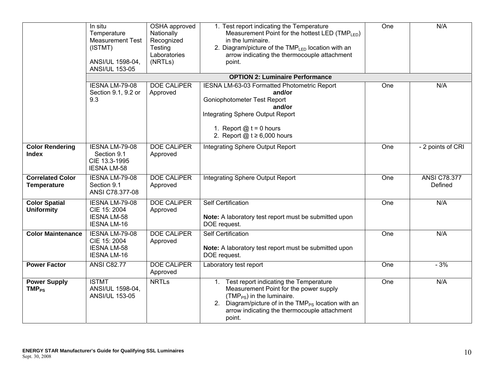|                                               | In situ<br>Temperature<br><b>Measurement Test</b><br>(ISTMT)<br>ANSI/UL 1598-04,<br><b>ANSI/UL 153-05</b> | OSHA approved<br>Nationally<br>Recognized<br>Testing<br>Laboratories<br>(NRTLs) | 1. Test report indicating the Temperature<br>Measurement Point for the hottest LED (TMPLED)<br>in the luminaire.<br>2. Diagram/picture of the TMP <sub>LED</sub> location with an<br>arrow indicating the thermocouple attachment<br>point.        | One | N/A                            |
|-----------------------------------------------|-----------------------------------------------------------------------------------------------------------|---------------------------------------------------------------------------------|----------------------------------------------------------------------------------------------------------------------------------------------------------------------------------------------------------------------------------------------------|-----|--------------------------------|
|                                               |                                                                                                           |                                                                                 | <b>OPTION 2: Luminaire Performance</b>                                                                                                                                                                                                             |     |                                |
|                                               | IESNA LM-79-08<br>Section 9.1, 9.2 or<br>9.3                                                              | <b>DOE CALIPER</b><br>Approved                                                  | IESNA LM-63-03 Formatted Photometric Report<br>and/or<br>Goniophotometer Test Report<br>and/or<br><b>Integrating Sphere Output Report</b><br>1. Report $@t = 0$ hours<br>2. Report $@t \geq 6,000$ hours                                           | One | N/A                            |
| <b>Color Rendering</b><br><b>Index</b>        | IESNA LM-79-08<br>Section 9.1<br>CIE 13.3-1995<br><b>IESNA LM-58</b>                                      | <b>DOE CALIPER</b><br>Approved                                                  | Integrating Sphere Output Report                                                                                                                                                                                                                   | One | - 2 points of CRI              |
| <b>Correlated Color</b><br><b>Temperature</b> | IESNA LM-79-08<br>Section 9.1<br>ANSI C78.377-08                                                          | <b>DOE CALIPER</b><br>Approved                                                  | <b>Integrating Sphere Output Report</b>                                                                                                                                                                                                            | One | <b>ANSI C78.377</b><br>Defined |
| <b>Color Spatial</b><br><b>Uniformity</b>     | IESNA LM-79-08<br>CIE 15: 2004<br><b>IESNA LM-58</b><br><b>IESNA LM-16</b>                                | <b>DOE CALIPER</b><br>Approved                                                  | Self Certification<br>Note: A laboratory test report must be submitted upon<br>DOE request.                                                                                                                                                        | One | N/A                            |
| <b>Color Maintenance</b>                      | <b>IESNA LM-79-08</b><br>CIE 15: 2004<br><b>IESNA LM-58</b><br><b>IESNA LM-16</b>                         | <b>DOE CALIPER</b><br>Approved                                                  | <b>Self Certification</b><br>Note: A laboratory test report must be submitted upon<br>DOE request.                                                                                                                                                 | One | N/A                            |
| <b>Power Factor</b>                           | <b>ANSI C82.77</b>                                                                                        | <b>DOE CALIPER</b><br>Approved                                                  | Laboratory test report                                                                                                                                                                                                                             | One | $-3%$                          |
| <b>Power Supply</b><br>$TMP_{PS}$             | <b>ISTMT</b><br>ANSI/UL 1598-04,<br><b>ANSI/UL 153-05</b>                                                 | <b>NRTLs</b>                                                                    | 1. Test report indicating the Temperature<br>Measurement Point for the power supply<br>$(TMP_{PS})$ in the luminaire.<br>2. Diagram/picture of in the TMP <sub>PS</sub> location with an<br>arrow indicating the thermocouple attachment<br>point. | One | N/A                            |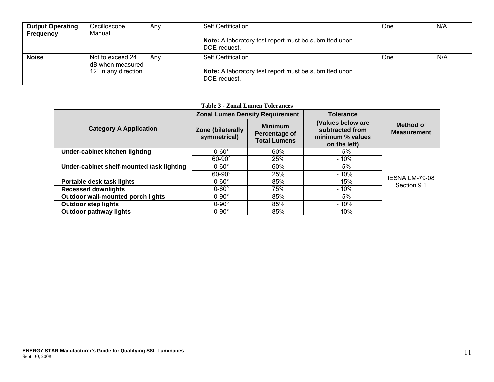| <b>Output Operating</b><br><b>Frequency</b> | Oscilloscope<br>Manual               | Anv | <b>Self Certification</b>                                             | One | N/A |
|---------------------------------------------|--------------------------------------|-----|-----------------------------------------------------------------------|-----|-----|
|                                             |                                      |     | Note: A laboratory test report must be submitted upon<br>DOE request. |     |     |
| <b>Noise</b>                                | Not to exceed 24<br>dB when measured | Anv | <b>Self Certification</b>                                             | One | N/A |
|                                             | 12" in any direction                 |     | Note: A laboratory test report must be submitted upon<br>DOE request. |     |     |

#### **Table 3 - Zonal Lumen Tolerances**

|                                           | <b>Zonal Lumen Density Requirement</b>                                                      |     | <b>Tolerance</b>                                                         |                                      |  |
|-------------------------------------------|---------------------------------------------------------------------------------------------|-----|--------------------------------------------------------------------------|--------------------------------------|--|
| <b>Category A Application</b>             | <b>Minimum</b><br>Zone (bilaterally<br>Percentage of<br>symmetrical)<br><b>Total Lumens</b> |     | (Values below are<br>subtracted from<br>minimum % values<br>on the left) | Method of<br><b>Measurement</b>      |  |
| Under-cabinet kitchen lighting            | $0-60^\circ$                                                                                | 60% | - 5%                                                                     |                                      |  |
|                                           | $60-90^\circ$                                                                               | 25% | $-10%$                                                                   |                                      |  |
| Under-cabinet shelf-mounted task lighting | $0-60^\circ$                                                                                | 60% | $-5%$                                                                    |                                      |  |
|                                           | $60-90^\circ$                                                                               | 25% | $-10%$                                                                   |                                      |  |
| Portable desk task lights                 | $0-60^\circ$                                                                                | 85% | $-15%$                                                                   | <b>IESNA LM-79-08</b><br>Section 9.1 |  |
| <b>Recessed downlights</b>                | $0-60^\circ$                                                                                | 75% | - 10%                                                                    |                                      |  |
| Outdoor wall-mounted porch lights         | $0-90^\circ$                                                                                | 85% | - 5%                                                                     |                                      |  |
| <b>Outdoor step lights</b>                | $0-90^\circ$                                                                                | 85% | $-10%$                                                                   |                                      |  |
| <b>Outdoor pathway lights</b>             | $0-90^\circ$                                                                                | 85% | $-10%$                                                                   |                                      |  |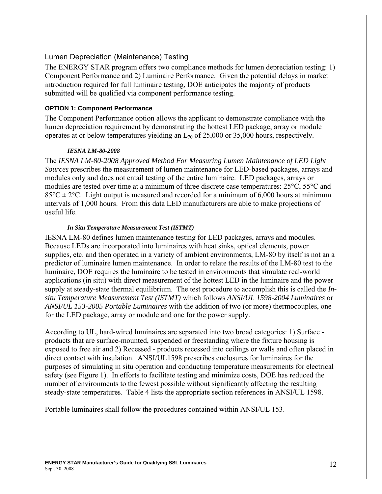### Lumen Depreciation (Maintenance) Testing

The ENERGY STAR program offers two compliance methods for lumen depreciation testing: 1) Component Performance and 2) Luminaire Performance. Given the potential delays in market introduction required for full luminaire testing, DOE anticipates the majority of products submitted will be qualified via component performance testing.

#### **OPTION 1: Component Performance**

The Component Performance option allows the applicant to demonstrate compliance with the lumen depreciation requirement by demonstrating the hottest LED package, array or module operates at or below temperatures yielding an  $L_{70}$  of 25,000 or 35,000 hours, respectively.

#### *IESNA LM-80-2008*

The *IESNA LM-80-2008 Approved Method For Measuring Lumen Maintenance of LED Light Sources* prescribes the measurement of lumen maintenance for LED-based packages, arrays and modules only and does not entail testing of the entire luminaire. LED packages, arrays or modules are tested over time at a minimum of three discrete case temperatures: 25°C, 55°C and  $85^{\circ}$ C  $\pm$  2°C. Light output is measured and recorded for a minimum of 6,000 hours at minimum intervals of 1,000 hours. From this data LED manufacturers are able to make projections of useful life.

#### *In Situ Temperature Measurement Test (ISTMT)*

IESNA LM-80 defines lumen maintenance testing for LED packages, arrays and modules. Because LEDs are incorporated into luminaires with heat sinks, optical elements, power supplies, etc. and then operated in a variety of ambient environments, LM-80 by itself is not an a predictor of luminaire lumen maintenance. In order to relate the results of the LM-80 test to the luminaire, DOE requires the luminaire to be tested in environments that simulate real-world applications (in situ) with direct measurement of the hottest LED in the luminaire and the power supply at steady-state thermal equilibrium. The test procedure to accomplish this is called the *Insitu Temperature Measurement Test (ISTMT)* which follows *ANSI/UL 1598-2004 Luminaires* or *ANSI/UL 153-2005 Portable Luminaires* with the addition of two (or more) thermocouples, one for the LED package, array or module and one for the power supply.

According to UL, hard-wired luminaires are separated into two broad categories: 1) Surface products that are surface-mounted, suspended or freestanding where the fixture housing is exposed to free air and 2) Recessed - products recessed into ceilings or walls and often placed in direct contact with insulation. ANSI/UL1598 prescribes enclosures for luminaires for the purposes of simulating in situ operation and conducting temperature measurements for electrical safety (see Figure 1). In efforts to facilitate testing and minimize costs, DOE has reduced the number of environments to the fewest possible without significantly affecting the resulting steady-state temperatures. Table 4 lists the appropriate section references in ANSI/UL 1598.

Portable luminaires shall follow the procedures contained within ANSI/UL 153.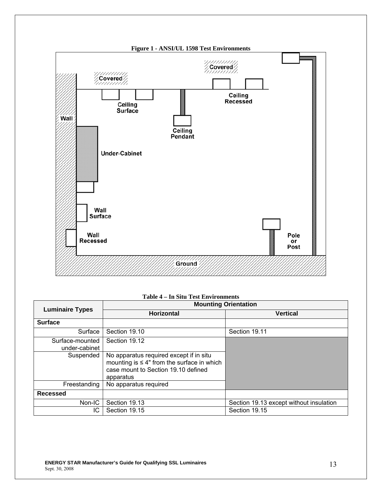

| Table 4 – In Situ Test Environments |
|-------------------------------------|
|-------------------------------------|

|                                  | <b>Mounting Orientation</b>                                                                                                                     |                                         |  |  |  |  |
|----------------------------------|-------------------------------------------------------------------------------------------------------------------------------------------------|-----------------------------------------|--|--|--|--|
| <b>Luminaire Types</b>           | <b>Horizontal</b>                                                                                                                               | <b>Vertical</b>                         |  |  |  |  |
| <b>Surface</b>                   |                                                                                                                                                 |                                         |  |  |  |  |
| Surface                          | Section 19.10                                                                                                                                   | Section 19.11                           |  |  |  |  |
| Surface-mounted<br>under-cabinet | Section 19.12                                                                                                                                   |                                         |  |  |  |  |
| Suspended                        | No apparatus required except if in situ<br>mounting is $\leq 4$ " from the surface in which<br>case mount to Section 19.10 defined<br>apparatus |                                         |  |  |  |  |
| Freestanding                     | No apparatus required                                                                                                                           |                                         |  |  |  |  |
| <b>Recessed</b>                  |                                                                                                                                                 |                                         |  |  |  |  |
| Non-IC                           | Section 19.13                                                                                                                                   | Section 19.13 except without insulation |  |  |  |  |
| IC.                              | Section 19.15                                                                                                                                   | Section 19.15                           |  |  |  |  |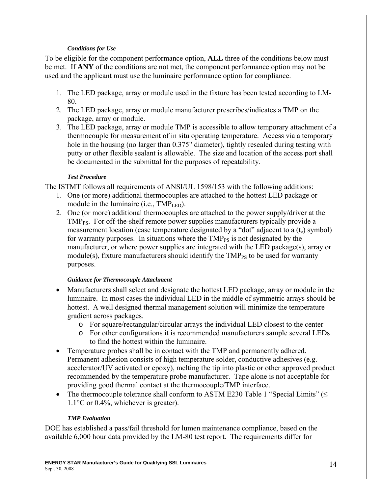### *Conditions for Use*

To be eligible for the component performance option, **ALL** three of the conditions below must be met. If **ANY** of the conditions are not met, the component performance option may not be used and the applicant must use the luminaire performance option for compliance.

- 1. The LED package, array or module used in the fixture has been tested according to LM-80.
- 2. The LED package, array or module manufacturer prescribes/indicates a TMP on the package, array or module.
- 3. The LED package, array or module TMP is accessible to allow temporary attachment of a thermocouple for measurement of in situ operating temperature. Access via a temporary hole in the housing (no larger than 0.375" diameter), tightly resealed during testing with putty or other flexible sealant is allowable. The size and location of the access port shall be documented in the submittal for the purposes of repeatability.

### *Test Procedure*

The ISTMT follows all requirements of ANSI/UL 1598/153 with the following additions:

- 1. One (or more) additional thermocouples are attached to the hottest LED package or module in the luminaire (i.e.,  $\text{TMP}_{\text{LED}}$ ).
- 2. One (or more) additional thermocouples are attached to the power supply/driver at the TMP<sub>PS</sub>. For off-the-shelf remote power supplies manufacturers typically provide a measurement location (case temperature designated by a "dot" adjacent to a  $(t_c)$  symbol) for warranty purposes. In situations where the  $\text{TMP}_{PS}$  is not designated by the manufacturer, or where power supplies are integrated with the LED package(s), array or module(s), fixture manufacturers should identify the  $\text{TMP}_{\text{PS}}$  to be used for warranty purposes.

### *Guidance for Thermocouple Attachment*

- Manufacturers shall select and designate the hottest LED package, array or module in the luminaire. In most cases the individual LED in the middle of symmetric arrays should be hottest. A well designed thermal management solution will minimize the temperature gradient across packages.
	- o For square/rectangular/circular arrays the individual LED closest to the center
	- o For other configurations it is recommended manufacturers sample several LEDs to find the hottest within the luminaire.
- Temperature probes shall be in contact with the TMP and permanently adhered. Permanent adhesion consists of high temperature solder, conductive adhesives (e.g. accelerator/UV activated or epoxy), melting the tip into plastic or other approved product recommended by the temperature probe manufacturer. Tape alone is not acceptable for providing good thermal contact at the thermocouple/TMP interface.
- The thermocouple tolerance shall conform to ASTM E230 Table 1 "Special Limits" ( $\leq$ 1.1°C or 0.4%, whichever is greater).

### *TMP Evaluation*

DOE has established a pass/fail threshold for lumen maintenance compliance, based on the available 6,000 hour data provided by the LM-80 test report. The requirements differ for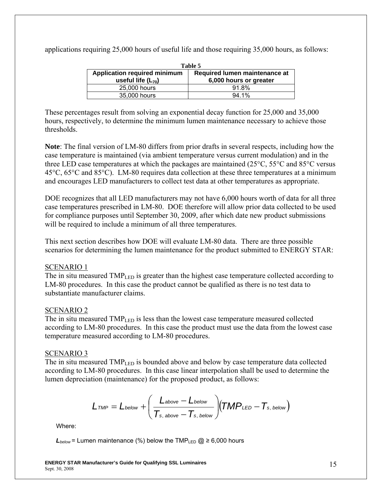| Table 5                             |                               |  |  |
|-------------------------------------|-------------------------------|--|--|
| <b>Application required minimum</b> | Required lumen maintenance at |  |  |
| useful life $(L_{70})$              | 6,000 hours or greater        |  |  |
| 25,000 hours                        | 91.8%                         |  |  |
| 35,000 hours                        | $94.1\%$                      |  |  |

applications requiring 25,000 hours of useful life and those requiring 35,000 hours, as follows:

These percentages result from solving an exponential decay function for 25,000 and 35,000 hours, respectively, to determine the minimum lumen maintenance necessary to achieve those thresholds.

**Note**: The final version of LM-80 differs from prior drafts in several respects, including how the case temperature is maintained (via ambient temperature versus current modulation) and in the three LED case temperatures at which the packages are maintained (25°C, 55°C and 85°C versus 45°C, 65°C and 85°C). LM-80 requires data collection at these three temperatures at a minimum and encourages LED manufacturers to collect test data at other temperatures as appropriate.

DOE recognizes that all LED manufacturers may not have 6,000 hours worth of data for all three case temperatures prescribed in LM-80. DOE therefore will allow prior data collected to be used for compliance purposes until September 30, 2009, after which date new product submissions will be required to include a minimum of all three temperatures.

This next section describes how DOE will evaluate LM-80 data. There are three possible scenarios for determining the lumen maintenance for the product submitted to ENERGY STAR:

### SCENARIO 1

The in situ measured  $TMP<sub>LED</sub>$  is greater than the highest case temperature collected according to LM-80 procedures. In this case the product cannot be qualified as there is no test data to substantiate manufacturer claims.

### SCENARIO 2

The in situ measured TMP<sub>LED</sub> is less than the lowest case temperature measured collected according to LM-80 procedures. In this case the product must use the data from the lowest case temperature measured according to LM-80 procedures.

### SCENARIO 3

The in situ measured  $TMP<sub>LED</sub>$  is bounded above and below by case temperature data collected according to LM-80 procedures. In this case linear interpolation shall be used to determine the lumen depreciation (maintenance) for the proposed product, as follows:

$$
L_{\textit{TMP}} = L_{\textit{below}} + \left(\frac{L_{\textit{above}} - L_{\textit{below}}}{T_{\textit{s, above}} - T_{\textit{s, below}}}\right)\!\!\big(\!\mathit{TMP}_{\textit{LED}} - T_{\textit{s, below}}\big)
$$

Where:

 $L_{below}$  = Lumen maintenance (%) below the TMP<sub>LED</sub>  $\omega \ge 6,000$  hours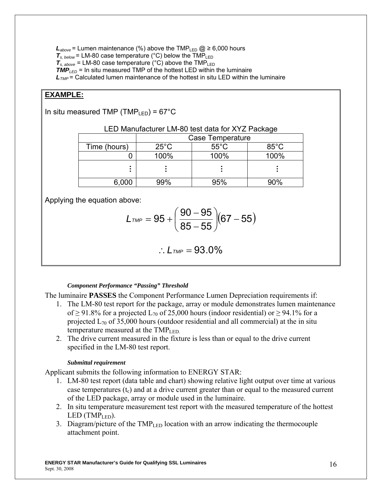$L_{above}$  = Lumen maintenance (%) above the TMP<sub>LED</sub>  $\omega \geq 6,000$  hours  $T_{s, below}$  = LM-80 case temperature (°C) below the TMP<sub>LED</sub>  $T_{s, above} = LM-80$  case temperature (°C) above the  $TMP_{LED}$ *TMPLED* = In situ measured TMP of the hottest LED within the luminaire *L<sub>TMP</sub>* = Calculated lumen maintenance of the hottest in situ LED within the luminaire

# **EXAMPLE:**

In situ measured TMP (TMP<sub>LED</sub>) =  $67^{\circ}$ C

|              | Case Temperature |                |                |
|--------------|------------------|----------------|----------------|
| Time (hours) | $25^{\circ}$ C   | $55^{\circ}$ C | $85^{\circ}$ C |
|              | 100%             | 100%           | 100%           |
|              |                  |                |                |
| 6,000        |                  | 95%            |                |

LED Manufacturer LM-80 test data for XYZ Package

Applying the equation above:

$$
L_{\text{TMP}} = 95 + \left(\frac{90 - 95}{85 - 55}\right)(67 - 55)
$$

$$
\therefore \, L_{\text{TMP}} = 93.0\%
$$

#### *Component Performance "Passing" Threshold*

The luminaire **PASSES** the Component Performance Lumen Depreciation requirements if:

- 1. The LM-80 test report for the package, array or module demonstrates lumen maintenance of  $\geq$  91.8% for a projected L<sub>70</sub> of 25,000 hours (indoor residential) or  $\geq$  94.1% for a projected  $L_{70}$  of 35,000 hours (outdoor residential and all commercial) at the in situ temperature measured at the  $\text{TMP}_{\text{LED}}$ .
- 2. The drive current measured in the fixture is less than or equal to the drive current specified in the LM-80 test report.

#### *Submittal requirement*

Applicant submits the following information to ENERGY STAR:

- 1. LM-80 test report (data table and chart) showing relative light output over time at various case temperatures  $(t_c)$  and at a drive current greater than or equal to the measured current of the LED package, array or module used in the luminaire.
- 2. In situ temperature measurement test report with the measured temperature of the hottest  $LED (TMP<sub>LED</sub>).$
- 3. Diagram/picture of the  $TMP_{LED}$  location with an arrow indicating the thermocouple attachment point.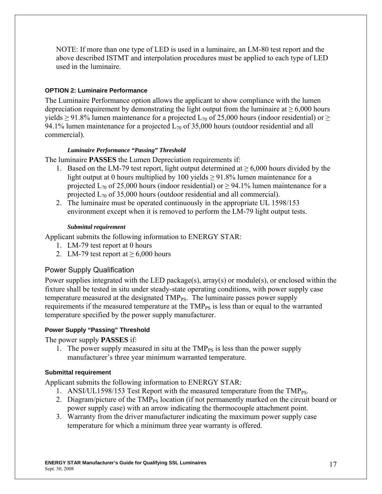NOTE: If more than one type of LED is used in a luminaire, an LM-80 test report and the above described ISTMT and interpolation procedures must be applied to each type of LED used in the luminaire.

### **OPTION 2: Luminaire Performance**

The Luminaire Performance option allows the applicant to show compliance with the lumen depreciation requirement by demonstrating the light output from the luminaire at  $\geq 6,000$  hours yields  $\geq$  91.8% lumen maintenance for a projected L<sub>70</sub> of 25,000 hours (indoor residential) or  $\geq$ 94.1% lumen maintenance for a projected  $L_{70}$  of 35,000 hours (outdoor residential and all commercial).

#### *Luminaire Performance "Passing" Threshold*

The luminaire **PASSES** the Lumen Depreciation requirements if:

- 1. Based on the LM-79 test report, light output determined at  $> 6,000$  hours divided by the light output at 0 hours multiplied by 100 yields  $\geq$  91.8% lumen maintenance for a projected  $L_{70}$  of 25,000 hours (indoor residential) or  $\geq$  94.1% lumen maintenance for a projected  $L_{70}$  of 35,000 hours (outdoor residential and all commercial).
- 2. The luminaire must be operated continuously in the appropriate UL 1598/153 environment except when it is removed to perform the LM-79 light output tests.

#### *Submittal requirement*

Applicant submits the following information to ENERGY STAR:

- 1. LM-79 test report at 0 hours
- 2. LM-79 test report at  $\geq 6,000$  hours

### Power Supply Qualification

Power supplies integrated with the LED package(s), array(s) or module(s), or enclosed within the fixture shall be tested in situ under steady-state operating conditions, with power supply case temperature measured at the designated TMP<sub>PS</sub>. The luminaire passes power supply requirements if the measured temperature at the  $TMP_{PS}$  is less than or equal to the warranted temperature specified by the power supply manufacturer.

### **Power Supply "Passing" Threshold**

The power supply **PASSES** if:

1. The power supply measured in situ at the  $TMP_{PS}$  is less than the power supply manufacturer's three year minimum warranted temperature.

#### **Submittal requirement**

Applicant submits the following information to ENERGY STAR:

- 1. ANSI/UL1598/153 Test Report with the measured temperature from the TMP<sub>PS</sub>.
- 2. Diagram/picture of the TMP<sub>PS</sub> location (if not permanently marked on the circuit board or power supply case) with an arrow indicating the thermocouple attachment point.
- 3. Warranty from the driver manufacturer indicating the maximum power supply case temperature for which a minimum three year warranty is offered.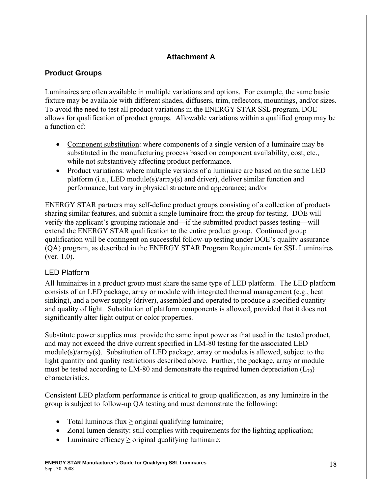# **Attachment A**

# **Product Groups**

Luminaires are often available in multiple variations and options. For example, the same basic fixture may be available with different shades, diffusers, trim, reflectors, mountings, and/or sizes. To avoid the need to test all product variations in the ENERGY STAR SSL program, DOE allows for qualification of product groups. Allowable variations within a qualified group may be a function of:

- Component substitution: where components of a single version of a luminaire may be substituted in the manufacturing process based on component availability, cost, etc., while not substantively affecting product performance.
- Product variations: where multiple versions of a luminaire are based on the same LED platform (i.e., LED module(s)/array(s) and driver), deliver similar function and performance, but vary in physical structure and appearance; and/or

ENERGY STAR partners may self-define product groups consisting of a collection of products sharing similar features, and submit a single luminaire from the group for testing. DOE will verify the applicant's grouping rationale and—if the submitted product passes testing—will extend the ENERGY STAR qualification to the entire product group. Continued group qualification will be contingent on successful follow-up testing under DOE's quality assurance (QA) program, as described in the ENERGY STAR Program Requirements for SSL Luminaires (ver. 1.0).

# LED Platform

All luminaires in a product group must share the same type of LED platform. The LED platform consists of an LED package, array or module with integrated thermal management (e.g., heat sinking), and a power supply (driver), assembled and operated to produce a specified quantity and quality of light. Substitution of platform components is allowed, provided that it does not significantly alter light output or color properties.

Substitute power supplies must provide the same input power as that used in the tested product, and may not exceed the drive current specified in LM-80 testing for the associated LED module(s)/array(s). Substitution of LED package, array or modules is allowed, subject to the light quantity and quality restrictions described above. Further, the package, array or module must be tested according to LM-80 and demonstrate the required lumen depreciation  $(L_{70})$ characteristics.

Consistent LED platform performance is critical to group qualification, as any luminaire in the group is subject to follow-up QA testing and must demonstrate the following:

- Total luminous flux  $\geq$  original qualifying luminaire;
- Zonal lumen density: still complies with requirements for the lighting application;
- Luminaire efficacy > original qualifying luminaire;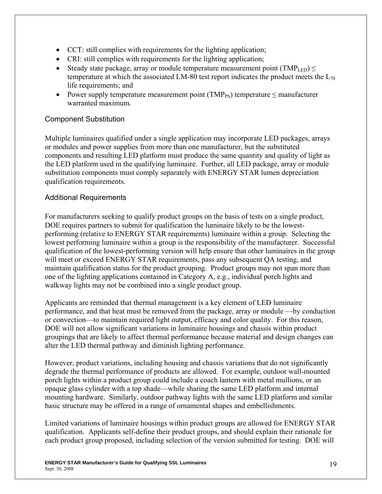- CCT: still complies with requirements for the lighting application;
- CRI: still complies with requirements for the lighting application;
- Steady state package, array or module temperature measurement point (TMP<sub>LED</sub>)  $\leq$ temperature at which the associated LM-80 test report indicates the product meets the  $L_{70}$ life requirements; and
- Power supply temperature measurement point ( $\text{TMP}_{PS}$ ) temperature  $\leq$  manufacturer warranted maximum.

## Component Substitution

Multiple luminaires qualified under a single application may incorporate LED packages, arrays or modules and power supplies from more than one manufacturer, but the substituted components and resulting LED platform must produce the same quantity and quality of light as the LED platform used in the qualifying luminaire. Further, all LED package, array or module substitution components must comply separately with ENERGY STAR lumen depreciation qualification requirements.

## Additional Requirements

For manufacturers seeking to qualify product groups on the basis of tests on a single product, DOE requires partners to submit for qualification the luminaire likely to be the lowestperforming (relative to ENERGY STAR requirements) luminaire within a group. Selecting the lowest performing luminaire within a group is the responsibility of the manufacturer. Successful qualification of the lowest-performing version will help ensure that other luminaires in the group will meet or exceed ENERGY STAR requirements, pass any subsequent QA testing, and maintain qualification status for the product grouping. Product groups may not span more than one of the lighting applications contained in Category A, e.g., individual porch lights and walkway lights may not be combined into a single product group.

Applicants are reminded that thermal management is a key element of LED luminaire performance, and that heat must be removed from the package, array or module —by conduction or convection—to maintain required light output, efficacy and color quality. For this reason, DOE will not allow significant variations in luminaire housings and chassis within product groupings that are likely to affect thermal performance because material and design changes can alter the LED thermal pathway and diminish lighting performance.

However, product variations, including housing and chassis variations that do not significantly degrade the thermal performance of products are allowed. For example, outdoor wall-mounted porch lights within a product group could include a coach lantern with metal mullions, or an opaque glass cylinder with a top shade—while sharing the same LED platform and internal mounting hardware. Similarly, outdoor pathway lights with the same LED platform and similar basic structure may be offered in a range of ornamental shapes and embellishments.

Limited variations of luminaire housings within product groups are allowed for ENERGY STAR qualification. Applicants self-define their product groups, and should explain their rationale for each product group proposed, including selection of the version submitted for testing. DOE will